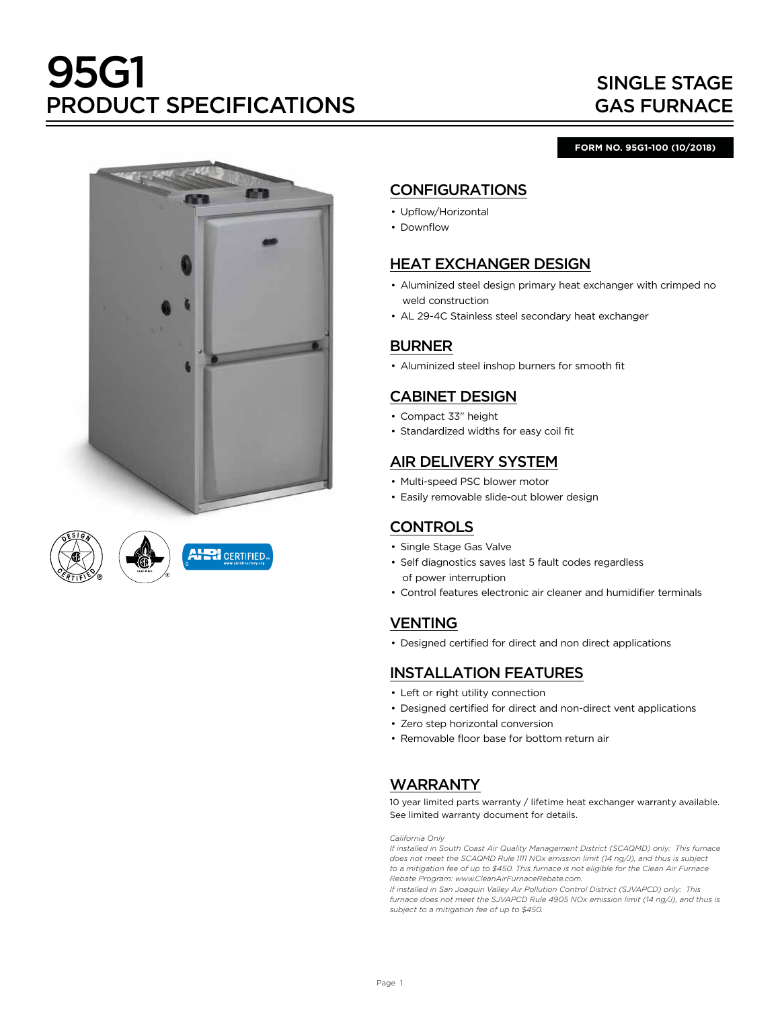# 95G1 PRODUCT SPECIFICATIONS

## SINGLE STAGE GAS FURNACE

#### **FORM NO. 95G1-100 (10/2018)**





## CONFIGURATIONS

- Upflow/Horizontal
- Downflow

## HEAT EXCHANGER DESIGN

- Aluminized steel design primary heat exchanger with crimped no weld construction
- AL 29-4C Stainless steel secondary heat exchanger

## BURNER

• Aluminized steel inshop burners for smooth fit

## CABINET DESIGN

- Compact 33" height
- Standardized widths for easy coil fit

## AIR DELIVERY SYSTEM

- Multi-speed PSC blower motor
- Easily removable slide-out blower design

## **CONTROLS**

- Single Stage Gas Valve
- Self diagnostics saves last 5 fault codes regardless of power interruption
- Control features electronic air cleaner and humidifier terminals

## VENTING

• Designed certified for direct and non direct applications

## INSTALLATION FEATURES

- Left or right utility connection
- Designed certified for direct and non-direct vent applications
- Zero step horizontal conversion
- Removable floor base for bottom return air

## WARRANTY

10 year limited parts warranty / lifetime heat exchanger warranty available. See limited warranty document for details.

*California Only*

*If installed in South Coast Air Quality Management District (SCAQMD) only: This furnace does not meet the SCAQMD Rule 1111 NOx emission limit (14 ng/J), and thus is subject to a mitigation fee of up to \$450. This furnace is not eligible for the Clean Air Furnace Rebate Program: www.CleanAirFurnaceRebate.com.* 

*If installed in San Joaquin Valley Air Pollution Control District (SJVAPCD) only: This furnace does not meet the SJVAPCD Rule 4905 NOx emission limit (14 ng/J), and thus is subject to a mitigation fee of up to \$450.*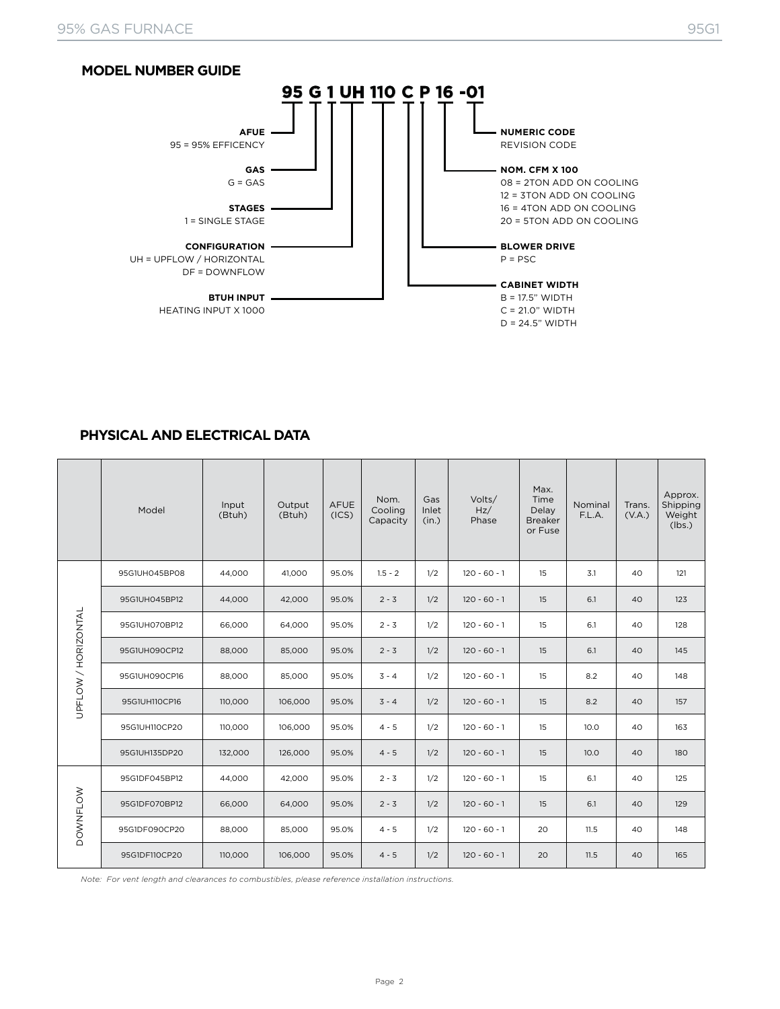

#### **PHYSICAL AND ELECTRICAL DATA**

|                     | Model         | Input<br>(Btuh) | Output<br>(Btuh) | <b>AFUE</b><br>(ICS) | Nom.<br>Cooling<br>Capacity | Gas<br>Inlet<br>(in.) | Volts/<br>Hz/<br>Phase | Max.<br>Time<br>Delay<br><b>Breaker</b><br>or Fuse | Nominal<br>F.L.A. | Trans.<br>(V.A.) | Approx.<br>Shipping<br>Weight<br>(lbs.) |
|---------------------|---------------|-----------------|------------------|----------------------|-----------------------------|-----------------------|------------------------|----------------------------------------------------|-------------------|------------------|-----------------------------------------|
|                     | 95G1UH045BP08 | 44,000          | 41.000           | 95.0%                | $1.5 - 2$                   | 1/2                   | $120 - 60 - 1$         | 15                                                 | 3.1               | 40               | 121                                     |
|                     | 95G1UH045BP12 | 44,000          | 42,000           | 95.0%                | $2 - 3$                     | 1/2                   | $120 - 60 - 1$         | 15                                                 | 6.1               | 40               | 123                                     |
| UPFLOW / HORIZONTAL | 95G1UH070BP12 | 66,000          | 64,000           | 95.0%                | $2 - 3$                     | 1/2                   | $120 - 60 - 1$         | 15                                                 | 6.1               | 40               | 128                                     |
|                     | 95G1UH090CP12 | 88,000          | 85,000           | 95.0%                | $2 - 3$                     | 1/2                   | $120 - 60 - 1$         | 15                                                 | 6.1               | 40               | 145                                     |
|                     | 95G1UH090CP16 | 88,000          | 85,000           | 95.0%                | $3 - 4$                     | 1/2                   | $120 - 60 - 1$         | 15                                                 | 8.2               | 40               | 148                                     |
|                     | 95G1UH110CP16 | 110,000         | 106,000          | 95.0%                | $3 - 4$                     | 1/2                   | $120 - 60 - 1$         | 15                                                 | 8.2               | 40               | 157                                     |
|                     | 95G1UH110CP20 | 110,000         | 106,000          | 95.0%                | $4 - 5$                     | 1/2                   | $120 - 60 - 1$         | 15                                                 | 10.0              | 40               | 163                                     |
|                     | 95G1UH135DP20 | 132,000         | 126,000          | 95.0%                | $4 - 5$                     | 1/2                   | $120 - 60 - 1$         | 15                                                 | 10.0              | 40               | 180                                     |
| <b>DOWNFLOW</b>     | 95G1DF045BP12 | 44,000          | 42,000           | 95.0%                | $2 - 3$                     | 1/2                   | $120 - 60 - 1$         | 15                                                 | 6.1               | 40               | 125                                     |
|                     | 95G1DF070BP12 | 66,000          | 64,000           | 95.0%                | $2 - 3$                     | 1/2                   | $120 - 60 - 1$         | 15                                                 | 6.1               | 40               | 129                                     |
|                     | 95G1DF090CP20 | 88,000          | 85,000           | 95.0%                | $4 - 5$                     | 1/2                   | $120 - 60 - 1$         | 20                                                 | 11.5              | 40               | 148                                     |
|                     | 95G1DF110CP20 | 110,000         | 106,000          | 95.0%                | $4 - 5$                     | 1/2                   | $120 - 60 - 1$         | 20                                                 | 11.5              | 40               | 165                                     |

*Note: For vent length and clearances to combustibles, please reference installation instructions.*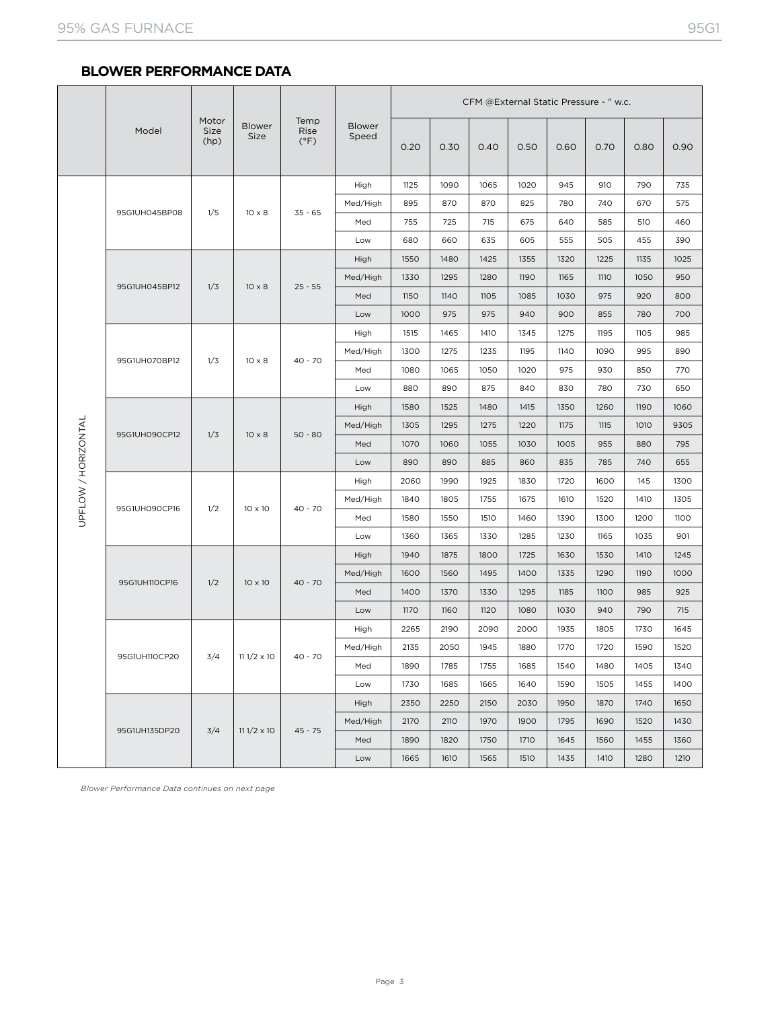## **BLOWER PERFORMANCE DATA**

|                     | Model         | Motor<br>Size<br>(hp) | <b>Blower</b><br>Size | Temp<br>Rise<br>$(^{\circ}F)$ | Blower<br>Speed | CFM @External Static Pressure - " w.c. |      |      |      |      |             |      |      |
|---------------------|---------------|-----------------------|-----------------------|-------------------------------|-----------------|----------------------------------------|------|------|------|------|-------------|------|------|
|                     |               |                       |                       |                               |                 | 0.20                                   | 0.30 | 0.40 | 0.50 | 0.60 | 0.70        | 0.80 | 0.90 |
|                     |               |                       |                       |                               | High            | 1125                                   | 1090 | 1065 | 1020 | 945  | 910         | 790  | 735  |
|                     |               |                       |                       |                               | Med/High        | 895                                    | 870  | 870  | 825  | 780  | 740         | 670  | 575  |
|                     | 95G1UH045BP08 | 1/5                   | $10 \times 8$         | $35 - 65$                     | Med             | 755                                    | 725  | 715  | 675  | 640  | 585         | 510  | 460  |
|                     |               |                       |                       |                               | Low             | 680                                    | 660  | 635  | 605  | 555  | 505         | 455  | 390  |
|                     |               |                       |                       |                               | High            | 1550                                   | 1480 | 1425 | 1355 | 1320 | 1225        | 1135 | 1025 |
|                     | 95G1UH045BP12 | 1/3                   | $10 \times 8$         | $25 - 55$                     | Med/High        | 1330                                   | 1295 | 1280 | 1190 | 1165 | <b>1110</b> | 1050 | 950  |
|                     |               |                       |                       |                               | Med             | 1150                                   | 1140 | 1105 | 1085 | 1030 | 975         | 920  | 800  |
|                     |               |                       |                       |                               | Low             | 1000                                   | 975  | 975  | 940  | 900  | 855         | 780  | 700  |
|                     |               |                       | $10 \times 8$         | $40 - 70$                     | High            | 1515                                   | 1465 | 1410 | 1345 | 1275 | 1195        | 1105 | 985  |
|                     | 95G1UH070BP12 | 1/3                   |                       |                               | Med/High        | 1300                                   | 1275 | 1235 | 1195 | 1140 | 1090        | 995  | 890  |
|                     |               |                       |                       |                               | Med             | 1080                                   | 1065 | 1050 | 1020 | 975  | 930         | 850  | 770  |
|                     |               |                       |                       |                               | Low             | 880                                    | 890  | 875  | 840  | 830  | 780         | 730  | 650  |
|                     | 95G1UH090CP12 | 1/3                   | $10 \times 8$         | $50 - 80$                     | High            | 1580                                   | 1525 | 1480 | 1415 | 1350 | 1260        | 1190 | 1060 |
| UPFLOW / HORIZONTAL |               |                       |                       |                               | Med/High        | 1305                                   | 1295 | 1275 | 1220 | 1175 | 1115        | 1010 | 9305 |
|                     |               |                       |                       |                               | Med             | 1070                                   | 1060 | 1055 | 1030 | 1005 | 955         | 880  | 795  |
|                     |               |                       |                       |                               | Low             | 890                                    | 890  | 885  | 860  | 835  | 785         | 740  | 655  |
|                     | 95G1UH090CP16 | 1/2                   | $10 \times 10$        |                               | High            | 2060                                   | 1990 | 1925 | 1830 | 1720 | 1600        | 145  | 1300 |
|                     |               |                       |                       | $40 - 70$                     | Med/High        | 1840                                   | 1805 | 1755 | 1675 | 1610 | 1520        | 1410 | 1305 |
|                     |               |                       |                       |                               | Med             | 1580                                   | 1550 | 1510 | 1460 | 1390 | 1300        | 1200 | 1100 |
|                     |               |                       |                       |                               | Low             | 1360                                   | 1365 | 1330 | 1285 | 1230 | 1165        | 1035 | 901  |
|                     |               | 1/2                   | $10 \times 10$        | $40 - 70$                     | High            | 1940                                   | 1875 | 1800 | 1725 | 1630 | 1530        | 1410 | 1245 |
|                     | 95G1UH110CP16 |                       |                       |                               | Med/High        | 1600                                   | 1560 | 1495 | 1400 | 1335 | 1290        | 1190 | 1000 |
|                     |               |                       |                       |                               | Med             | 1400                                   | 1370 | 1330 | 1295 | 1185 | 1100        | 985  | 925  |
|                     |               |                       |                       |                               | Low             | 1170                                   | 1160 | 1120 | 1080 | 1030 | 940         | 790  | 715  |
|                     |               |                       |                       |                               | High            | 2265                                   | 2190 | 2090 | 2000 | 1935 | 1805        | 1730 | 1645 |
|                     | 95G1UH110CP20 | 3/4                   | $111/2 \times 10$     | $40 - 70$                     | Med/High        | 2135                                   | 2050 | 1945 | 1880 | 1770 | 1720        | 1590 | 1520 |
|                     |               |                       |                       |                               | Med             | 1890                                   | 1785 | 1755 | 1685 | 1540 | 1480        | 1405 | 1340 |
|                     |               |                       |                       |                               | Low             | 1730                                   | 1685 | 1665 | 1640 | 1590 | 1505        | 1455 | 1400 |
|                     |               |                       |                       |                               | High            | 2350                                   | 2250 | 2150 | 2030 | 1950 | 1870        | 1740 | 1650 |
|                     | 95G1UH135DP20 | 3/4                   | $111/2 \times 10$     | $45 - 75$                     | Med/High        | 2170                                   | 2110 | 1970 | 1900 | 1795 | 1690        | 1520 | 1430 |
|                     |               |                       |                       |                               | Med             | 1890                                   | 1820 | 1750 | 1710 | 1645 | 1560        | 1455 | 1360 |
|                     |               |                       |                       |                               | Low             | 1665                                   | 1610 | 1565 | 1510 | 1435 | 1410        | 1280 | 1210 |

*Blower Performance Data continues on next page*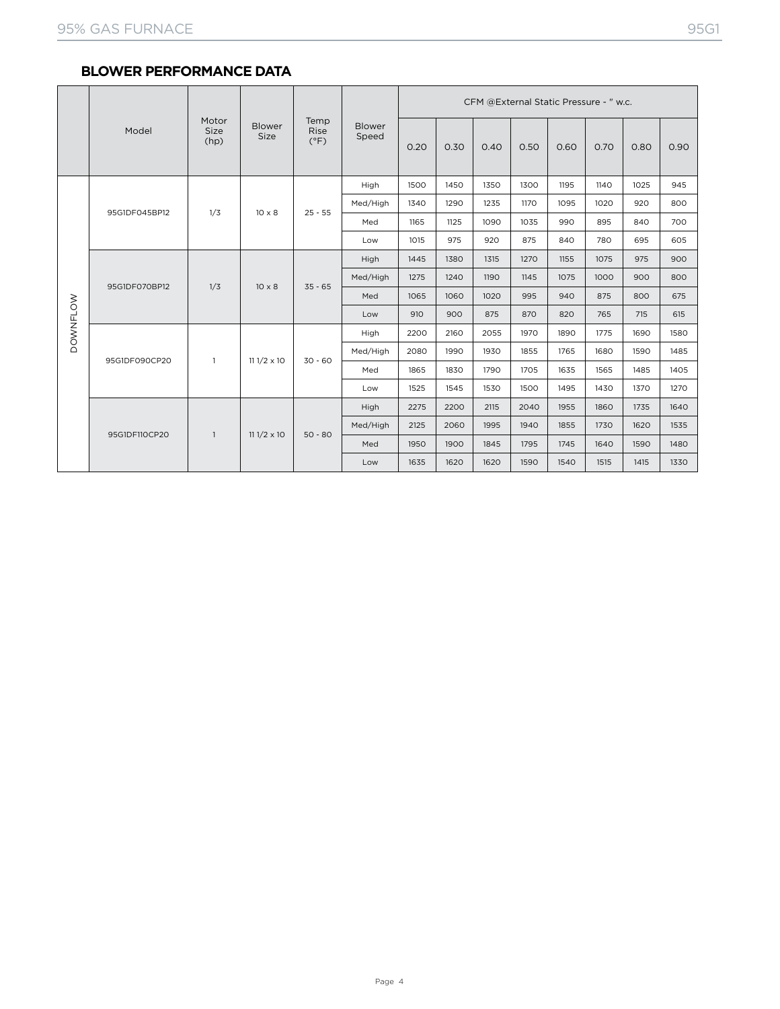## **BLOWER PERFORMANCE DATA**

|                 |               |                       |                       |                               | <b>Blower</b><br>Speed | CFM @External Static Pressure - " w.c. |      |      |      |      |      |      |      |
|-----------------|---------------|-----------------------|-----------------------|-------------------------------|------------------------|----------------------------------------|------|------|------|------|------|------|------|
|                 | Model         | Motor<br>Size<br>(hp) | <b>Blower</b><br>Size | Temp<br>Rise<br>$(^{\circ}F)$ |                        | 0.20                                   | 0.30 | 0.40 | 0.50 | 0.60 | 0.70 | 0.80 | 0.90 |
|                 |               |                       | $10 \times 8$         | $25 - 55$                     | High                   | 1500                                   | 1450 | 1350 | 1300 | 1195 | 1140 | 1025 | 945  |
|                 |               | 1/3                   |                       |                               | Med/High               | 1340                                   | 1290 | 1235 | 1170 | 1095 | 1020 | 920  | 800  |
|                 | 95G1DF045BP12 |                       |                       |                               | Med                    | 1165                                   | 1125 | 1090 | 1035 | 990  | 895  | 840  | 700  |
|                 |               |                       |                       |                               | Low                    | 1015                                   | 975  | 920  | 875  | 840  | 780  | 695  | 605  |
| <b>DOWNFLOW</b> | 95G1DF070BP12 | 1/3                   | $10 \times 8$         | $35 - 65$                     | High                   | 1445                                   | 1380 | 1315 | 1270 | 1155 | 1075 | 975  | 900  |
|                 |               |                       |                       |                               | Med/High               | 1275                                   | 1240 | 1190 | 1145 | 1075 | 1000 | 900  | 800  |
|                 |               |                       |                       |                               | Med                    | 1065                                   | 1060 | 1020 | 995  | 940  | 875  | 800  | 675  |
|                 |               |                       |                       |                               | Low                    | 910                                    | 900  | 875  | 870  | 820  | 765  | 715  | 615  |
|                 | 95G1DF090CP20 | $\mathbf{1}$          | $111/2 \times 10$     | $30 - 60$                     | High                   | 2200                                   | 2160 | 2055 | 1970 | 1890 | 1775 | 1690 | 1580 |
|                 |               |                       |                       |                               | Med/High               | 2080                                   | 1990 | 1930 | 1855 | 1765 | 1680 | 1590 | 1485 |
|                 |               |                       |                       |                               | Med                    | 1865                                   | 1830 | 1790 | 1705 | 1635 | 1565 | 1485 | 1405 |
|                 |               |                       |                       |                               | Low                    | 1525                                   | 1545 | 1530 | 1500 | 1495 | 1430 | 1370 | 1270 |
|                 |               |                       | $111/2 \times 10$     |                               | High                   | 2275                                   | 2200 | 2115 | 2040 | 1955 | 1860 | 1735 | 1640 |
|                 |               | $\mathbf{1}$          |                       | $50 - 80$                     | Med/High               | 2125                                   | 2060 | 1995 | 1940 | 1855 | 1730 | 1620 | 1535 |
|                 | 95G1DF110CP20 |                       |                       |                               | Med                    | 1950                                   | 1900 | 1845 | 1795 | 1745 | 1640 | 1590 | 1480 |
|                 |               |                       |                       |                               | Low                    | 1635                                   | 1620 | 1620 | 1590 | 1540 | 1515 | 1415 | 1330 |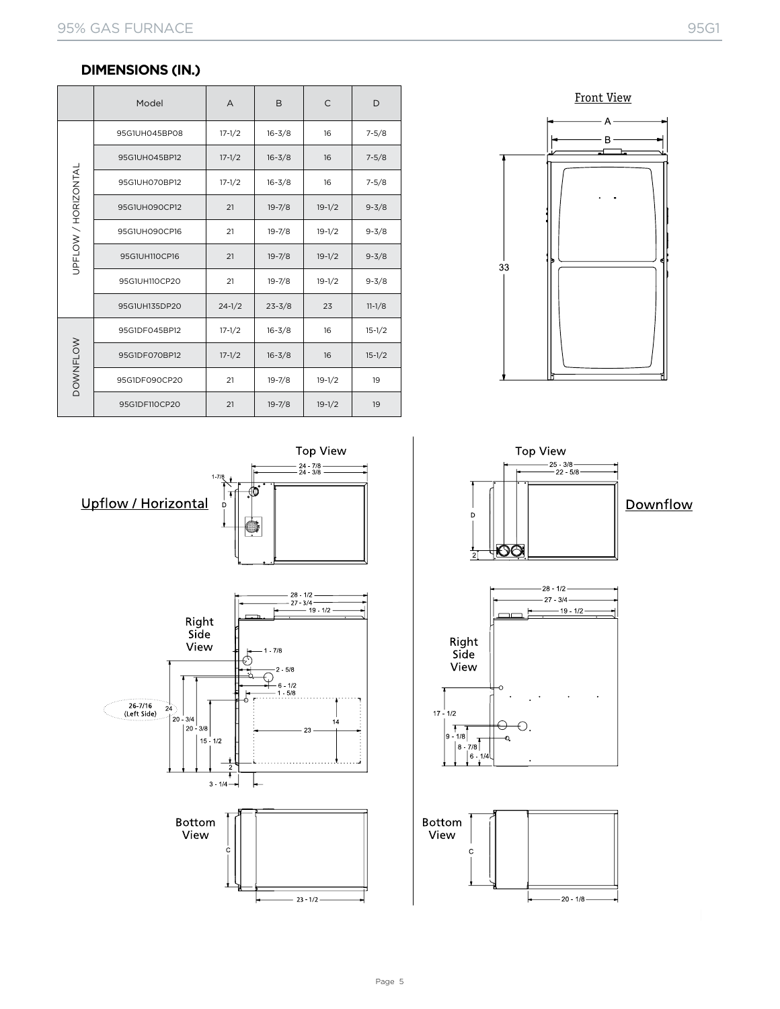## **DIMENSIONS (IN.)**

|                     | Model         | A          | B          | C          | D          |  |
|---------------------|---------------|------------|------------|------------|------------|--|
| UPFLOW / HORIZONTAL | 95G1UH045BP08 | $17 - 1/2$ | $16 - 3/8$ | 16         | $7 - 5/8$  |  |
|                     | 95G1UH045BP12 | $17 - 1/2$ | $16 - 3/8$ | 16         | $7 - 5/8$  |  |
|                     | 95G1UH070BP12 | $17 - 1/2$ | $16 - 3/8$ | 16         | $7 - 5/8$  |  |
|                     | 95G1UH090CP12 | 21         | $19 - 7/8$ | $19 - 1/2$ | $9 - 3/8$  |  |
|                     | 95G1UH090CP16 | 21         | $19 - 7/8$ | $19-1/2$   | $9 - 3/8$  |  |
|                     | 95G1UH110CP16 | 21         | $19 - 7/8$ | $19 - 1/2$ | $9 - 3/8$  |  |
|                     | 95G1UH110CP20 | 21         | $19 - 7/8$ | $19-1/2$   | $9 - 3/8$  |  |
|                     | 95G1UH135DP20 | $24 - 1/2$ | $23 - 3/8$ | 23         | $11 - 1/8$ |  |
| <b>DOWNFLOW</b>     | 95G1DF045BP12 | $17 - 1/2$ | $16 - 3/8$ | 16         | $15-1/2$   |  |
|                     | 95G1DF070BP12 | $17 - 1/2$ | $16 - 3/8$ | 16         | $15 - 1/2$ |  |
|                     | 95G1DF090CP20 | 21         | $19 - 7/8$ | $19-1/2$   | 19         |  |
|                     | 95G1DF110CP20 | 21         | $19 - 7/8$ | $19 - 1/2$ | 19         |  |